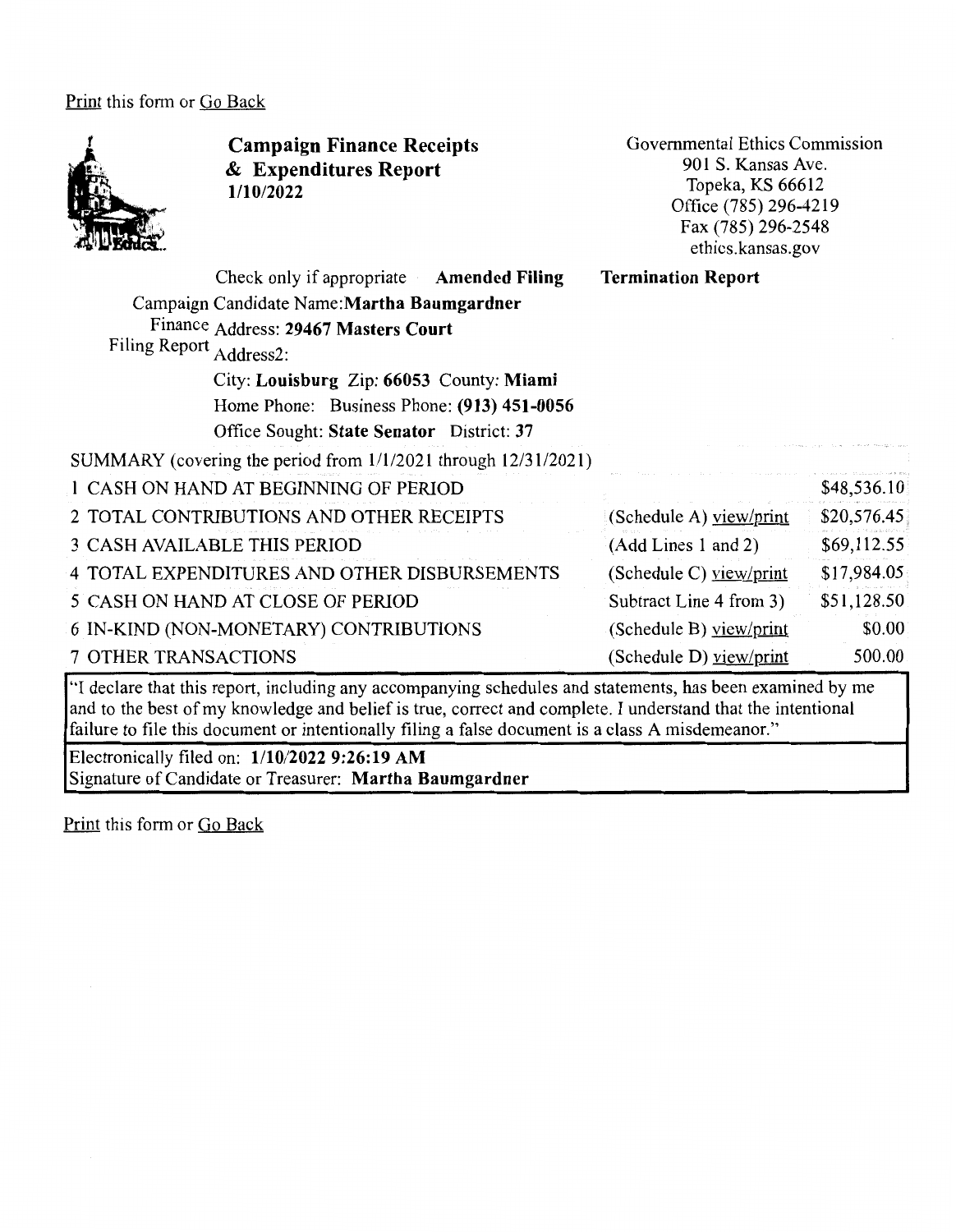Print this form or Go Back



**Campaign Finance Receipts**  & **Expenditures Report 1/10/2022** 

Governmental Ethics Commission 901 S. Kansas Ave. Topeka, KS 66612 Office (785) 296-4219 Fax (785) 296-2548 ethics .kansas .gov

| Check only if appropriate Amended Filing                       | <b>Termination Report</b> |             |
|----------------------------------------------------------------|---------------------------|-------------|
| Campaign Candidate Name: Martha Baumgardner                    |                           |             |
| Finance Address: 29467 Masters Court                           |                           |             |
| Filing Report Address2:                                        |                           |             |
| City: Louisburg Zip: 66053 County: Miami                       |                           |             |
| Home Phone: Business Phone: (913) 451-0056                     |                           |             |
| Office Sought: State Senator District: 37                      |                           |             |
| SUMMARY (covering the period from 1/1/2021 through 12/31/2021) |                           |             |
| 1 CASH ON HAND AT BEGINNING OF PERIOD                          |                           | \$48,536.10 |
| 2 TOTAL CONTRIBUTIONS AND OTHER RECEIPTS                       | (Schedule A) $view/print$ | \$20,576.45 |
| <b>3 CASH AVAILABLE THIS PERIOD</b>                            | (Add Lines 1 and 2)       | \$69,112.55 |
| 4 TOTAL EXPENDITURES AND OTHER DISBURSEMENTS                   | (Schedule C) yiew/print   | \$17,984.05 |
| 5 CASH ON HAND AT CLOSE OF PERIOD                              | Subtract Line 4 from 3)   | \$51,128.50 |
| 6 IN-KIND (NON-MONETARY) CONTRIBUTIONS                         | (Schedule B) view/print   | \$0.00      |
| <b>7 OTHER TRANSACTIONS</b>                                    | (Schedule D) view/print   | 500.00      |

"I declare that this report, including any accompanying schedules and statements, has been examined by me and to the best of my knowledge and belief is true, correct and complete. I understand that the intentional failure to file this document or intentionally filing a false document is a class A misdemeanor."

Electronically filed on: **1/10/2022 9:26:19 AM**  Signature of Candidate or Treasurer: **Martha Baumgardner**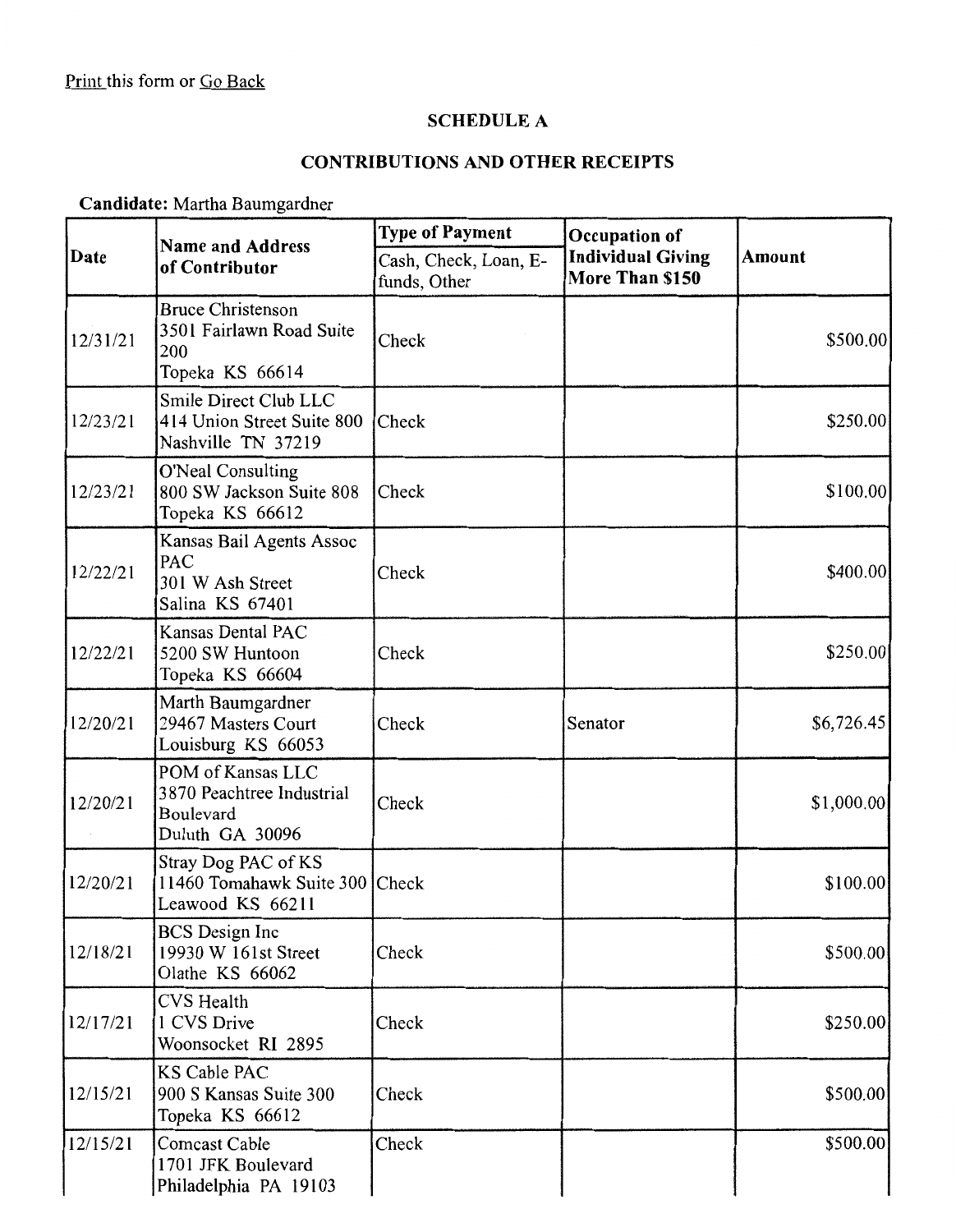# **SCHEDULE A**

# **CONTRIBUTIONS AND OTHER RECEIPTS**

**Candidate:** Martha Baumgardner

|                        | <b>Name and Address</b>                                                        | <b>Type of Payment</b>                | Occupation of                               |            |
|------------------------|--------------------------------------------------------------------------------|---------------------------------------|---------------------------------------------|------------|
| Date<br>of Contributor |                                                                                | Cash, Check, Loan, E-<br>funds, Other | <b>Individual Giving</b><br>More Than \$150 | Amount     |
| 12/31/21               | <b>Bruce Christenson</b><br>3501 Fairlawn Road Suite<br>200<br>Topeka KS 66614 | Check                                 |                                             | \$500.00   |
| 12/23/21               | Smile Direct Club LLC<br>414 Union Street Suite 800<br>Nashville TN 37219      | Check                                 |                                             | \$250.00   |
| 12/23/21               | <b>O'Neal Consulting</b><br>800 SW Jackson Suite 808<br>Topeka KS 66612        | Check                                 |                                             | \$100.00   |
| 12/22/21               | Kansas Bail Agents Assoc<br>PAC<br>301 W Ash Street<br>Salina KS 67401         | Check                                 |                                             | \$400.00   |
| 12/22/21               | Kansas Dental PAC<br>5200 SW Huntoon<br>Topeka KS 66604                        | Check                                 |                                             | \$250.00   |
| 12/20/21               | Marth Baumgardner<br>29467 Masters Court<br>Louisburg KS 66053                 | Check                                 | Senator                                     | \$6,726.45 |
| 12/20/21               | POM of Kansas LLC<br>3870 Peachtree Industrial<br>Boulevard<br>Duluth GA 30096 | Check                                 |                                             | \$1,000.00 |
| 12/20/21               | Stray Dog PAC of KS<br>11460 Tomahawk Suite 300 Check<br>Leawood KS 66211      |                                       |                                             | \$100.00   |
| 12/18/21               | <b>BCS</b> Design Inc<br>19930 W 161st Street<br>Olathe KS 66062               | Check                                 |                                             | \$500.00   |
| 12/17/21               | CVS Health<br>1 CVS Drive<br>Woonsocket RI 2895                                | Check                                 |                                             | \$250.00]  |
| 12/15/21               | <b>KS Cable PAC</b><br>900 S Kansas Suite 300<br>Topeka KS 66612               | Check                                 |                                             | \$500.00   |
| 12/15/21               | <b>Comcast Cable</b><br>1701 JFK Boulevard<br>Philadelphia PA 19103            | Check                                 |                                             | \$500.00   |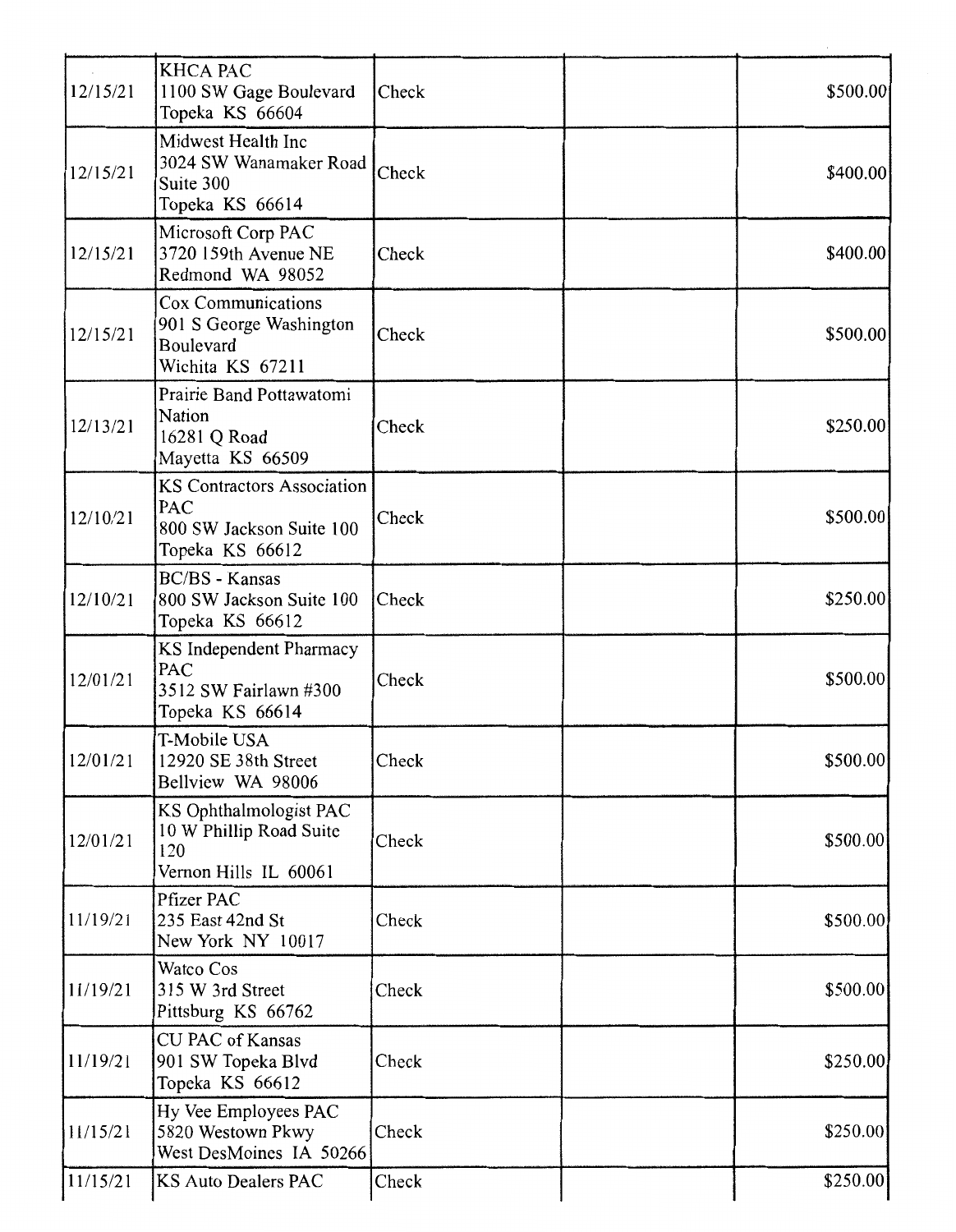| 12/15/21 | <b>KHCA PAC</b><br>1100 SW Gage Boulevard<br>Topeka KS 66604                            | Check        | \$500.00 |
|----------|-----------------------------------------------------------------------------------------|--------------|----------|
| 12/15/21 | Midwest Health Inc<br>3024 SW Wanamaker Road<br>Suite 300<br>Topeka KS 66614            | Check        | \$400.00 |
| 12/15/21 | Microsoft Corp PAC<br>3720 159th Avenue NE<br>Redmond WA 98052                          | Check        | \$400.00 |
| 12/15/21 | Cox Communications<br>901 S George Washington<br>Boulevard<br>Wichita KS 67211          | Check        | \$500.00 |
| 12/13/21 | Prairie Band Pottawatomi<br>Nation<br>16281 Q Road<br>Mayetta KS 66509                  | Check        | \$250.00 |
| 12/10/21 | <b>KS Contractors Association</b><br>PAC<br>800 SW Jackson Suite 100<br>Topeka KS 66612 | Check        | \$500.00 |
| 12/10/21 | <b>BC/BS</b> - Kansas<br>800 SW Jackson Suite 100<br>Topeka KS 66612                    | <b>Check</b> | \$250.00 |
| 12/01/21 | KS Independent Pharmacy<br><b>PAC</b><br>3512 SW Fairlawn #300<br>Topeka KS 66614       | Check        | \$500.00 |
| 12/01/21 | T-Mobile USA<br>12920 SE 38th Street<br>Bellview WA 98006                               | Check        | \$500.00 |
| 12/01/21 | KS Ophthalmologist PAC<br>10 W Phillip Road Suite<br>120<br>Vernon Hills IL 60061       | Check        | \$500.00 |
| 11/19/21 | Pfizer PAC<br>235 East 42nd St<br>New York NY 10017                                     | Check        | \$500.00 |
| 11/19/21 | Watco Cos<br>315 W 3rd Street<br>Pittsburg KS 66762                                     | Check        | \$500.00 |
| 11/19/21 | <b>CU PAC of Kansas</b><br>901 SW Topeka Blvd<br>Topeka KS 66612                        | Check        | \$250.00 |
| 11/15/21 | Hy Vee Employees PAC<br>5820 Westown Pkwy<br>West DesMoines IA 50266                    | Check        | \$250.00 |
| 11/15/21 | <b>KS Auto Dealers PAC</b>                                                              | Check        | \$250.00 |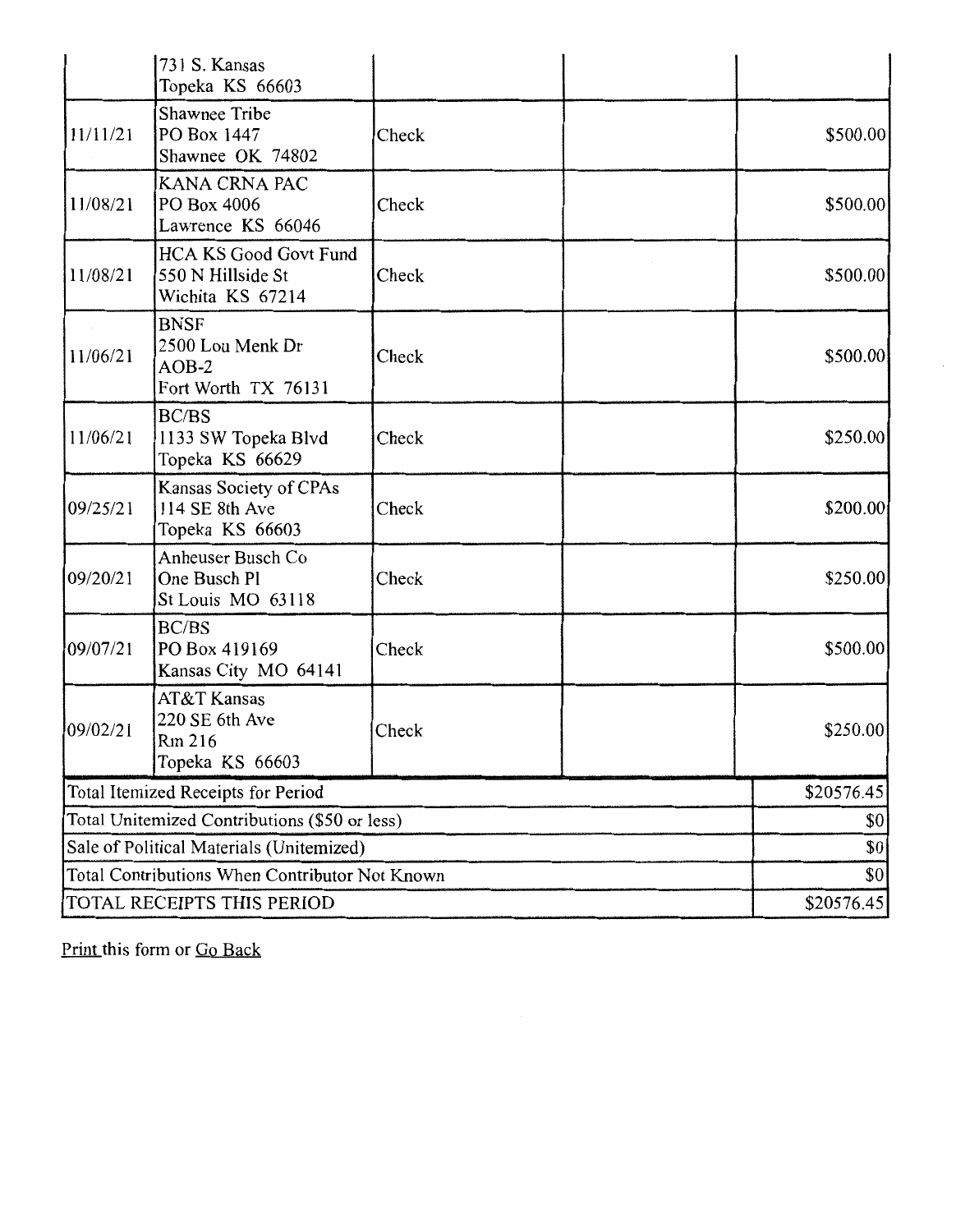|                                                | 731 S. Kansas<br>Topeka KS 66603                                      |            |            |
|------------------------------------------------|-----------------------------------------------------------------------|------------|------------|
| 11/11/21                                       | Shawnee Tribe<br>PO Box 1447<br>Shawnee OK 74802                      | Check      | \$500.00   |
| 11/08/21                                       | KANA CRNA PAC<br>PO Box 4006<br>Lawrence KS 66046                     | Check      | \$500.00   |
| 11/08/21                                       | <b>HCA KS Good Govt Fund</b><br>550 N Hillside St<br>Wichita KS 67214 | Check      | \$500.00   |
| 11/06/21                                       | <b>BNSF</b><br>2500 Lou Menk Dr<br>$AOB-2$<br>Fort Worth TX 76131     | Check      | \$500.00   |
| 11/06/21                                       | BC/BS<br>1133 SW Topeka Blvd<br>Topeka KS 66629                       | Check      | \$250.00   |
| 09/25/21                                       | Kansas Society of CPAs<br>114 SE 8th Ave<br>Topeka KS 66603           | Check      | \$200.00   |
| 09/20/21                                       | Anheuser Busch Co<br>One Busch Pl<br>St Louis MO 63118                | Check      | \$250.00   |
| 09/07/21                                       | BC/BS<br>PO Box 419169<br>Kansas City MO 64141                        | Check      | \$500.00   |
| 09/02/21                                       | AT&T Kansas<br>220 SE 6th Ave<br>Rm 216<br>Topeka KS 66603            | Check      | \$250.00   |
|                                                | Total Itemized Receipts for Period                                    |            | \$20576.45 |
| Total Unitemized Contributions (\$50 or less)  |                                                                       | \$0        |            |
| Sale of Political Materials (Unitemized)       |                                                                       | \$0        |            |
| Total Contributions When Contributor Not Known |                                                                       |            | \$0        |
| TOTAL RECEIPTS THIS PERIOD                     |                                                                       | \$20576.45 |            |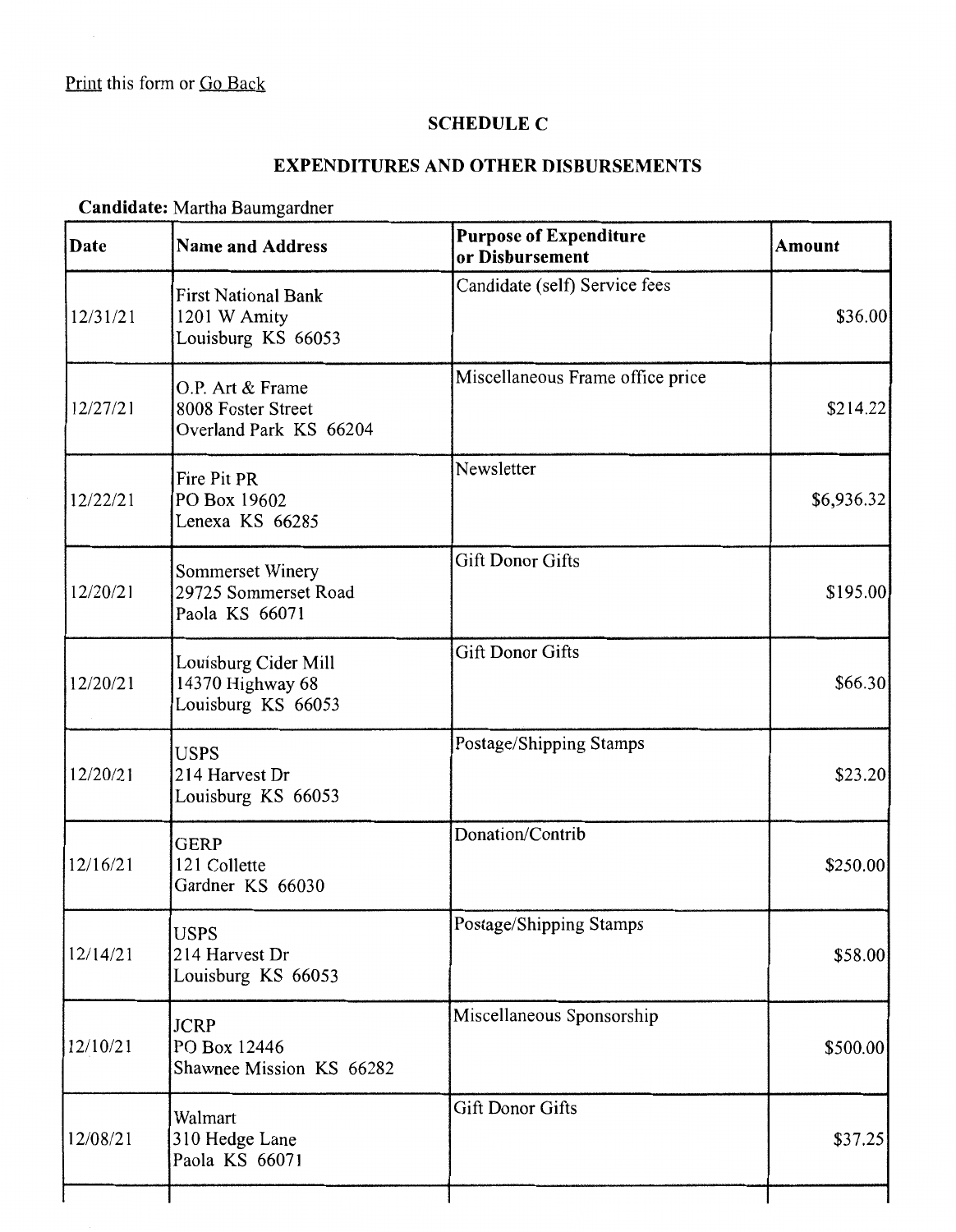## **SCHEDULE C**

## **EXPENDITURES AND OTHER DISBURSEMENTS**

**Candidate:** Martha Baumgardner

| Date     | <b>Name and Address</b>                                          | <b>Purpose of Expenditure</b><br>or Disbursement | <b>Amount</b> |
|----------|------------------------------------------------------------------|--------------------------------------------------|---------------|
| 12/31/21 | <b>First National Bank</b><br>1201 W Amity<br>Louisburg KS 66053 | Candidate (self) Service fees                    | \$36.00       |
| 12/27/21 | O.P. Art & Frame<br>8008 Foster Street<br>Overland Park KS 66204 | Miscellaneous Frame office price                 | \$214.22]     |
| 12/22/21 | Fire Pit PR<br>PO Box 19602<br>Lenexa KS 66285                   | Newsletter                                       | \$6,936.32    |
| 12/20/21 | Sommerset Winery<br>29725 Sommerset Road<br>Paola KS 66071       | <b>Gift Donor Gifts</b>                          | \$195.00      |
| 12/20/21 | Louisburg Cider Mill<br>14370 Highway 68<br>Louisburg KS 66053   | <b>Gift Donor Gifts</b>                          | \$66.30       |
| 12/20/21 | <b>USPS</b><br>214 Harvest Dr<br>Louisburg KS 66053              | Postage/Shipping Stamps                          | \$23.20       |
| 12/16/21 | <b>GERP</b><br>121 Collette<br>Gardner KS 66030                  | Donation/Contrib                                 | \$250.00      |
| 12/14/21 | <b>USPS</b><br>214 Harvest Dr<br>Louisburg KS 66053              | Postage/Shipping Stamps                          | \$58.00       |
| 12/10/21 | <b>JCRP</b><br>PO Box 12446<br>Shawnee Mission KS 66282          | Miscellaneous Sponsorship                        | \$500.00      |
| 12/08/21 | Walmart<br>310 Hedge Lane<br>Paola KS 66071                      | <b>Gift Donor Gifts</b>                          | \$37.25       |
|          |                                                                  |                                                  |               |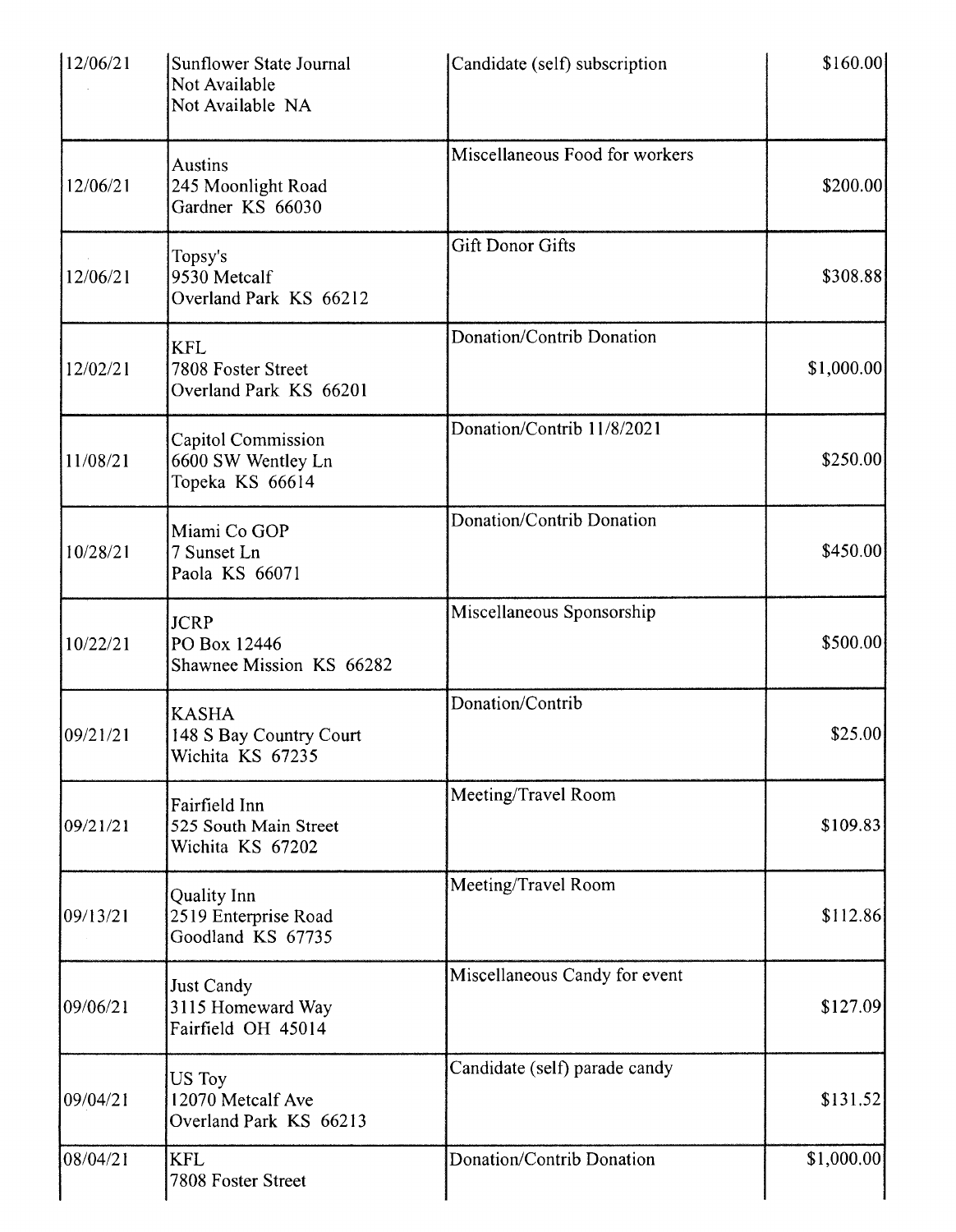| 12/06/21 | Sunflower State Journal<br>Not Available<br>Not Available NA       | Candidate (self) subscription  | \$160.00]   |
|----------|--------------------------------------------------------------------|--------------------------------|-------------|
| 12/06/21 | Austins<br>245 Moonlight Road<br>Gardner KS 66030                  | Miscellaneous Food for workers | \$200.00    |
| 12/06/21 | Topsy's<br>9530 Metcalf<br>Overland Park KS 66212                  | <b>Gift Donor Gifts</b>        | \$308.88    |
| 12/02/21 | <b>KFL</b><br>7808 Foster Street<br>Overland Park KS 66201         | Donation/Contrib Donation      | \$1,000.00] |
| 11/08/21 | <b>Capitol Commission</b><br>6600 SW Wentley Ln<br>Topeka KS 66614 | Donation/Contrib 11/8/2021     | \$250.00    |
| 10/28/21 | Miami Co GOP<br>7 Sunset Ln<br>Paola KS 66071                      | Donation/Contrib Donation      | \$450.00]   |
| 10/22/21 | <b>JCRP</b><br>PO Box 12446<br>Shawnee Mission KS 66282            | Miscellaneous Sponsorship      | \$500.00    |
| 09/21/21 | <b>KASHA</b><br>148 S Bay Country Court<br>Wichita KS 67235        | Donation/Contrib               | \$25.00     |
| 09/21/21 | Fairfield Inn<br>525 South Main Street<br>Wichita KS 67202         | Meeting/Travel Room            | \$109.83    |
| 09/13/21 | Quality Inn<br>2519 Enterprise Road<br>Goodland KS 67735           | Meeting/Travel Room            | \$112.86    |
| 09/06/21 | <b>Just Candy</b><br>3115 Homeward Way<br>Fairfield OH 45014       | Miscellaneous Candy for event  | \$127.09    |
| 09/04/21 | US Toy<br>12070 Metcalf Ave<br>Overland Park KS 66213              | Candidate (self) parade candy  | \$131.52    |
| 08/04/21 | <b>KFL</b><br>7808 Foster Street                                   | Donation/Contrib Donation      | \$1,000.00] |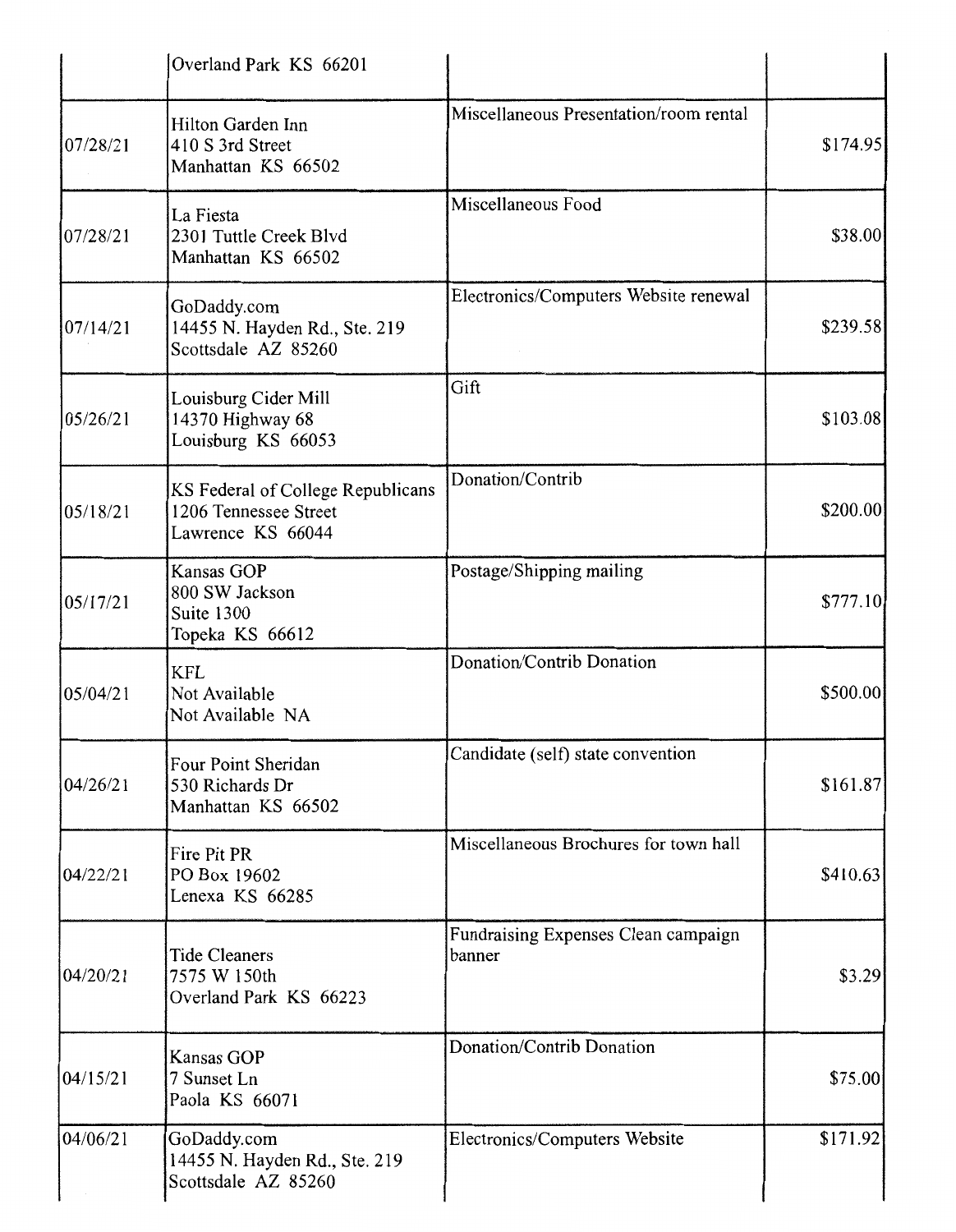|          | Overland Park KS 66201                                                          |                                               |          |
|----------|---------------------------------------------------------------------------------|-----------------------------------------------|----------|
| 07/28/21 | Hilton Garden Inn<br>410 S 3rd Street<br>Manhattan KS 66502                     | Miscellaneous Presentation/room rental        | \$174.95 |
| 07/28/21 | La Fiesta<br>2301 Tuttle Creek Blvd<br>Manhattan KS 66502                       | Miscellaneous Food                            | \$38.00  |
| 07/14/21 | GoDaddy.com<br>14455 N. Hayden Rd., Ste. 219<br>Scottsdale AZ 85260             | Electronics/Computers Website renewal         | \$239.58 |
| 05/26/21 | Louisburg Cider Mill<br>14370 Highway 68<br>Louisburg KS 66053                  | Gift                                          | \$103.08 |
| 05/18/21 | KS Federal of College Republicans<br>1206 Tennessee Street<br>Lawrence KS 66044 | Donation/Contrib                              | \$200.00 |
| 05/17/21 | Kansas GOP<br>800 SW Jackson<br>Suite 1300<br>Topeka KS 66612                   | Postage/Shipping mailing                      | \$777.10 |
| 05/04/21 | <b>KFL</b><br>Not Available<br>Not Available NA                                 | Donation/Contrib Donation                     | \$500.00 |
| 04/26/21 | Four Point Sheridan<br>530 Richards Dr<br>Manhattan KS 66502                    | Candidate (self) state convention             | \$161.87 |
| 04/22/21 | Fire Pit PR<br>PO Box 19602<br>Lenexa KS 66285                                  | Miscellaneous Brochures for town hall         | \$410.63 |
| 04/20/21 | <b>Tide Cleaners</b><br>7575 W 150th<br>Overland Park KS 66223                  | Fundraising Expenses Clean campaign<br>banner | \$3.29   |
| 04/15/21 | Kansas GOP<br>7 Sunset Ln<br>Paola KS 66071                                     | Donation/Contrib Donation                     | \$75.00  |
| 04/06/21 | GoDaddy.com<br>14455 N. Hayden Rd., Ste. 219<br>Scottsdale AZ 85260             | Electronics/Computers Website                 | \$171.92 |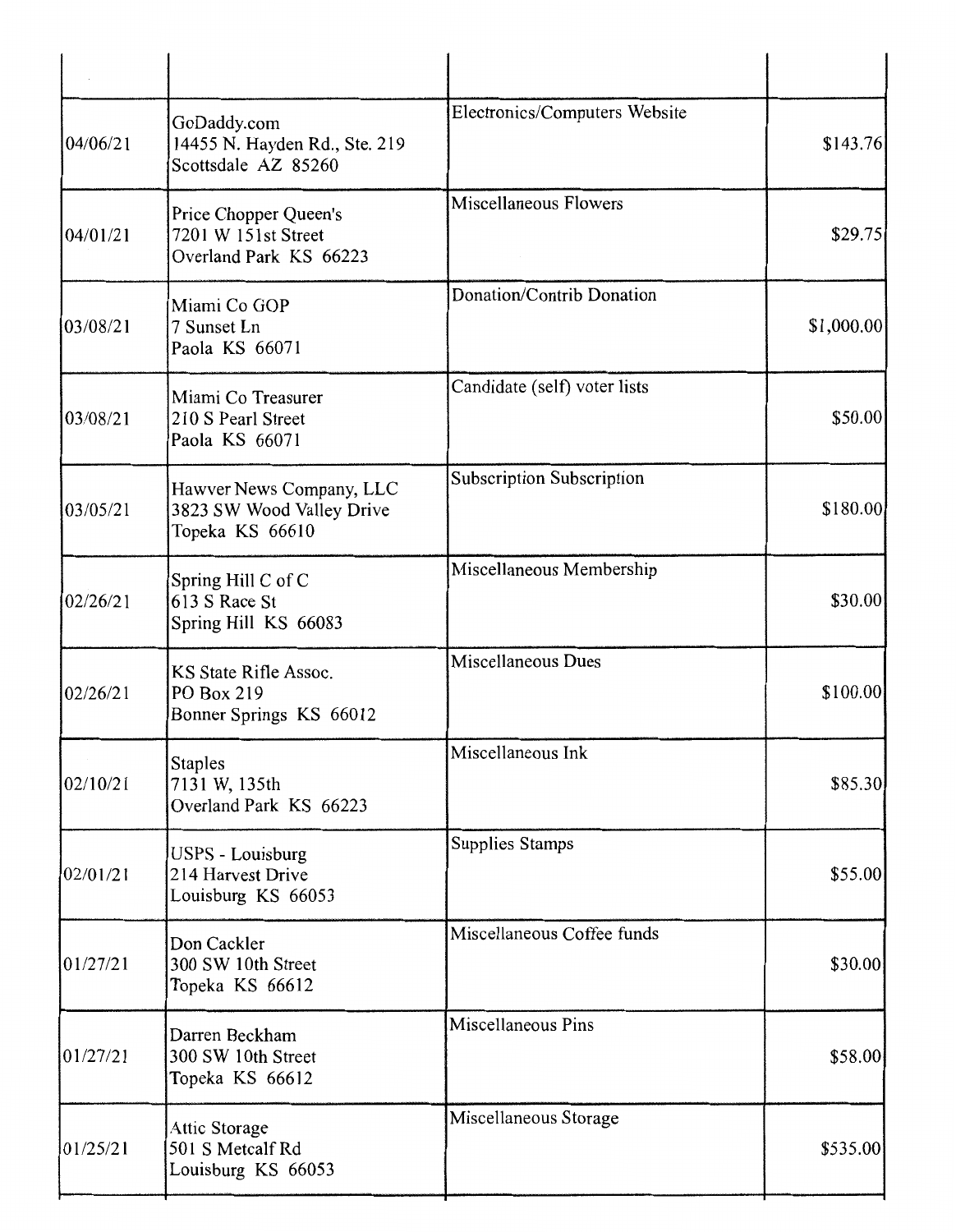| 04/06/21 | GoDaddy.com<br>14455 N. Hayden Rd., Ste. 219<br>Scottsdale AZ 85260      | Electronics/Computers Website    | \$143.76   |
|----------|--------------------------------------------------------------------------|----------------------------------|------------|
| 04/01/21 | Price Chopper Queen's<br>7201 W 151st Street<br>Overland Park KS 66223   | <b>Miscellaneous Flowers</b>     | \$29.75    |
| 03/08/21 | Miami Co GOP<br>7 Sunset Ln<br>Paola KS 66071                            | Donation/Contrib Donation        | \$1,000.00 |
| 03/08/21 | Miami Co Treasurer<br>210 S Pearl Street<br>Paola KS 66071               | Candidate (self) voter lists     | \$50.00    |
| 03/05/21 | Hawver News Company, LLC<br>3823 SW Wood Valley Drive<br>Topeka KS 66610 | <b>Subscription Subscription</b> | \$180.00   |
| 02/26/21 | Spring Hill C of C<br>613 S Race St<br>Spring Hill KS 66083              | Miscellaneous Membership         | \$30.00    |
| 02/26/21 | KS State Rifle Assoc.<br>PO Box 219<br>Bonner Springs KS 66012           | Miscellaneous Dues               | \$100.00   |
| 02/10/21 | <b>Staples</b><br>7131 W, 135th<br>Overland Park KS 66223                | Miscellaneous Ink                | \$85.30    |
| 02/01/21 | <b>USPS - Louisburg</b><br>214 Harvest Drive<br>Louisburg KS 66053       | Supplies Stamps                  | \$55.00    |
| 01/27/21 | Don Cackler<br>300 SW 10th Street<br>Topeka KS 66612                     | Miscellaneous Coffee funds       | \$30.00    |
| 01/27/21 | Darren Beckham<br>300 SW 10th Street<br>Topeka KS 66612                  | Miscellaneous Pins               | \$58.00    |
| 01/25/21 | Attic Storage<br>501 S Metcalf Rd<br>Louisburg KS 66053                  | Miscellaneous Storage            | \$535.00   |
|          |                                                                          |                                  |            |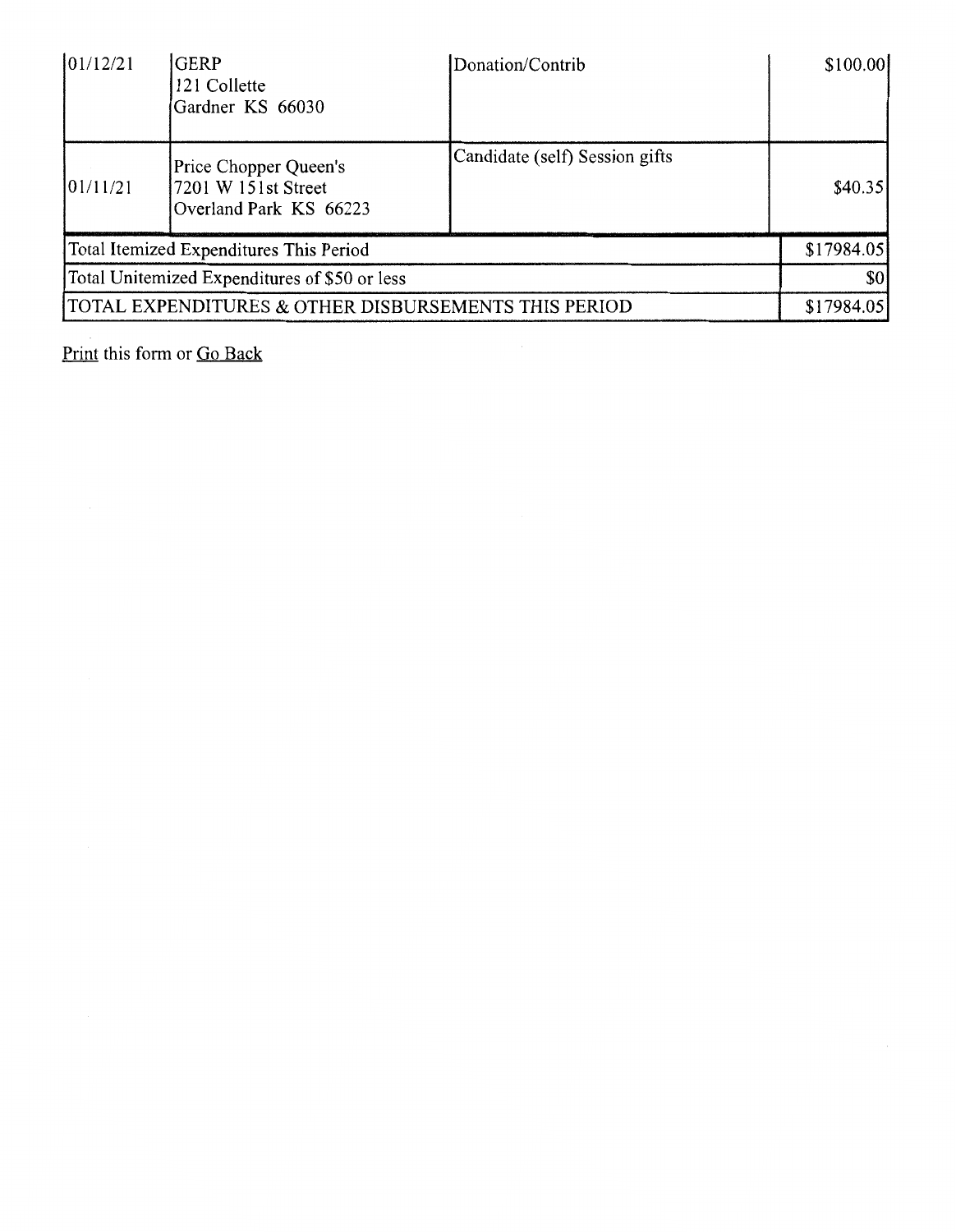| 01/12/21 | <b>GERP</b><br>121 Collette<br>Gardner KS 66030                        | Donation/Contrib               | \$100.00]  |
|----------|------------------------------------------------------------------------|--------------------------------|------------|
| 01/11/21 | Price Chopper Queen's<br>7201 W 151st Street<br>Overland Park KS 66223 | Candidate (self) Session gifts | \$40.35]   |
|          | Total Itemized Expenditures This Period                                |                                | \$17984.05 |
|          | Total Unitemized Expenditures of \$50 or less                          |                                | \$0        |
|          | TOTAL EXPENDITURES & OTHER DISBURSEMENTS THIS PERIOD                   |                                | \$17984.05 |